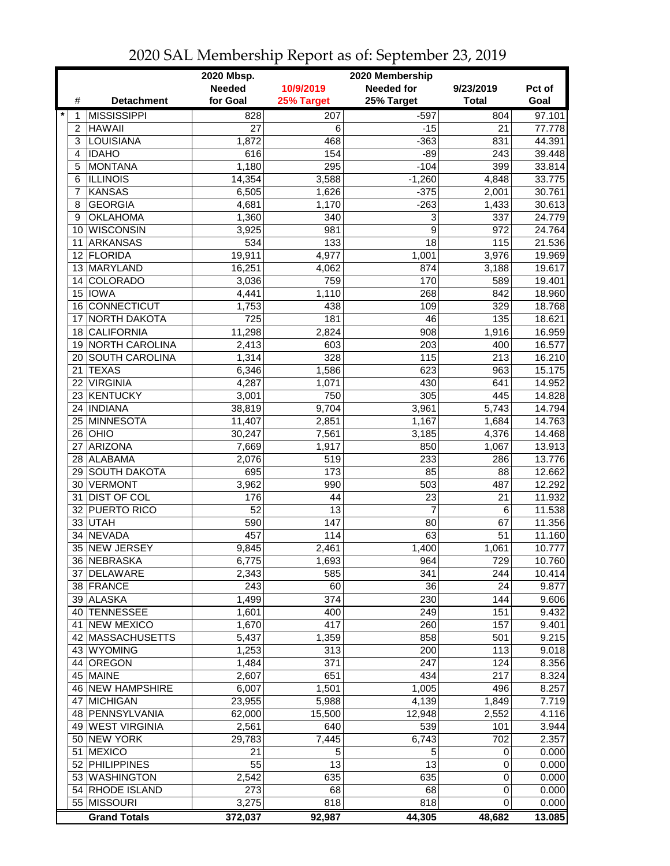|                 |                       | 2020 Mbsp.<br>2020 Membership |            |                |              |        |  |  |
|-----------------|-----------------------|-------------------------------|------------|----------------|--------------|--------|--|--|
|                 |                       | <b>Needed</b>                 | 10/9/2019  | Needed for     | 9/23/2019    | Pct of |  |  |
| #               | <b>Detachment</b>     | for Goal                      | 25% Target | 25% Target     | <b>Total</b> | Goal   |  |  |
| $\ast$<br>1     | <b>MISSISSIPPI</b>    | 828                           | 207        | $-597$         | 804          | 97.101 |  |  |
| $\overline{2}$  | <b>HAWAII</b>         | 27                            | 6          | $-15$          | 21           | 77.778 |  |  |
| 3               | <b>LOUISIANA</b>      | 1,872                         | 468        | $-363$         | 831          | 44.391 |  |  |
| 4               | <b>IDAHO</b>          | 616                           | 154        | $-89$          | 243          | 39.448 |  |  |
| 5               | <b>MONTANA</b>        | 1,180                         | 295        | $-104$         | 399          | 33.814 |  |  |
| 6               | <b>ILLINOIS</b>       | 14,354                        | 3,588      | $-1,260$       | 4,848        | 33.775 |  |  |
| 7               | <b>KANSAS</b>         | 6,505                         | 1,626      | $-375$         | 2,001        | 30.761 |  |  |
| 8               | <b>GEORGIA</b>        | 4,681                         | 1,170      | $-263$         | 1,433        | 30.613 |  |  |
| 9               | <b>OKLAHOMA</b>       | 1,360                         | 340        | 3              | 337          | 24.779 |  |  |
| 10              | <b>WISCONSIN</b>      | 3,925                         | 981        | 9              | 972          | 24.764 |  |  |
| 11              | <b>ARKANSAS</b>       | 534                           | 133        | 18             | 115          | 21.536 |  |  |
|                 | 12 FLORIDA            | 19,911                        | 4,977      | 1,001          | 3,976        | 19.969 |  |  |
|                 | 13 MARYLAND           | 16,251                        | 4,062      | 874            | 3,188        | 19.617 |  |  |
| 14              | <b>COLORADO</b>       | 3,036                         | 759        | 170            | 589          | 19.401 |  |  |
| 15              | <b>IOWA</b>           | 4,441                         | 1,110      | 268            | 842          | 18.960 |  |  |
| 16              | <b>CONNECTICUT</b>    | 1,753                         | 438        | 109            | 329          | 18.768 |  |  |
| 17              | NORTH DAKOTA          | 725                           | 181        | 46             | 135          | 18.621 |  |  |
| 18              | <b>CALIFORNIA</b>     | 11,298                        | 2,824      | 908            | 1,916        | 16.959 |  |  |
| 19              | <b>NORTH CAROLINA</b> | 2,413                         | 603        | 203            | 400          | 16.577 |  |  |
| 20              | <b>SOUTH CAROLINA</b> | 1,314                         | 328        | 115            | 213          | 16.210 |  |  |
| 21              | <b>TEXAS</b>          | 6,346                         | 1,586      | 623            | 963          | 15.175 |  |  |
| 22              | <b>VIRGINIA</b>       | 4,287                         | 1,071      | 430            | 641          | 14.952 |  |  |
| 23              | <b>KENTUCKY</b>       | 3,001                         | 750        | 305            | 445          | 14.828 |  |  |
| 24              | <b>INDIANA</b>        | 38,819                        | 9,704      | 3,961          | 5,743        | 14.794 |  |  |
| 25              | <b>MINNESOTA</b>      | 11,407                        | 2,851      | 1,167          | 1,684        | 14.763 |  |  |
|                 | $26$ OHIO             | 30,247                        | 7,561      | 3,185          | 4,376        | 14.468 |  |  |
| 27              | <b>ARIZONA</b>        | 7,669                         | 1,917      | 850            | 1,067        | 13.913 |  |  |
|                 | 28 ALABAMA            | 2,076                         | 519        | 233            | 286          | 13.776 |  |  |
|                 | 29 SOUTH DAKOTA       | 695                           | 173        | 85             | 88           | 12.662 |  |  |
| 30 <sup>1</sup> | VERMONT               | 3,962                         | 990        | 503            | 487          | 12.292 |  |  |
| 31              | <b>DIST OF COL</b>    | 176                           | 44         | 23             | 21           | 11.932 |  |  |
| 32              | <b>PUERTO RICO</b>    | 52                            | 13         | $\overline{7}$ | 6            | 11.538 |  |  |
|                 | 33 UTAH               | 590                           | 147        | 80             | 67           | 11.356 |  |  |
| 34              | <b>NEVADA</b>         | 457                           | 114        | 63             | 51           | 11.160 |  |  |
|                 | 35 NEW JERSEY         | 9,845                         | 2,461      | 1,400          | 1,061        | 10.777 |  |  |
|                 | 36 NEBRASKA           | 6,775                         | 1,693      | 964            | 729          | 10.760 |  |  |
| 37 I            | <b>DELAWARE</b>       | 2,343                         | 585        | 341            | 244          | 10.414 |  |  |
|                 | 38 FRANCE             | 243                           | 60         | 36             | 24           | 9.877  |  |  |
|                 | 39 ALASKA             | 1,499                         | 374        | 230            | 144          | 9.606  |  |  |
| 40              | <b>TENNESSEE</b>      | 1,601                         | 400        | 249            | 151          | 9.432  |  |  |
| 41              | <b>NEW MEXICO</b>     | 1,670                         | 417        | 260            | 157          | 9.401  |  |  |
|                 | 42 MASSACHUSETTS      | 5,437                         | 1,359      | 858            | 501          | 9.215  |  |  |
|                 | 43 WYOMING            | 1,253                         | 313        | 200            | 113          | 9.018  |  |  |
|                 | 44 OREGON             | 1,484                         | 371        | 247            | 124          | 8.356  |  |  |
|                 | 45 MAINE              | 2,607                         | 651        | 434            | 217          | 8.324  |  |  |
|                 | 46 NEW HAMPSHIRE      | 6,007                         | 1,501      | 1,005          | 496          | 8.257  |  |  |
|                 | 47 MICHIGAN           | 23,955                        | 5,988      | 4,139          | 1,849        | 7.719  |  |  |
|                 | 48   PENNSYLVANIA     | 62,000                        | 15,500     | 12,948         | 2,552        | 4.116  |  |  |
|                 | 49 WEST VIRGINIA      | 2,561                         | 640        | 539            | 101          | 3.944  |  |  |
|                 | 50 NEW YORK           | 29,783                        | 7,445      | 6,743          | 702          | 2.357  |  |  |
| 51              | <b>MEXICO</b>         | 21                            | 5          | 5              | 0            | 0.000  |  |  |
|                 | 52 PHILIPPINES        | 55                            | 13         | 13             | $\mathbf 0$  | 0.000  |  |  |
|                 | 53 WASHINGTON         | 2,542                         | 635        | 635            | $\mathbf 0$  | 0.000  |  |  |
|                 | 54 RHODE ISLAND       | 273                           | 68         | 68             | 0            | 0.000  |  |  |
|                 | 55 MISSOURI           | 3,275                         | 818        | 818            | 0            | 0.000  |  |  |
|                 | <b>Grand Totals</b>   | 372,037                       | 92,987     | 44,305         | 48,682       | 13.085 |  |  |

2020 SAL Membership Report as of: September 23, 2019